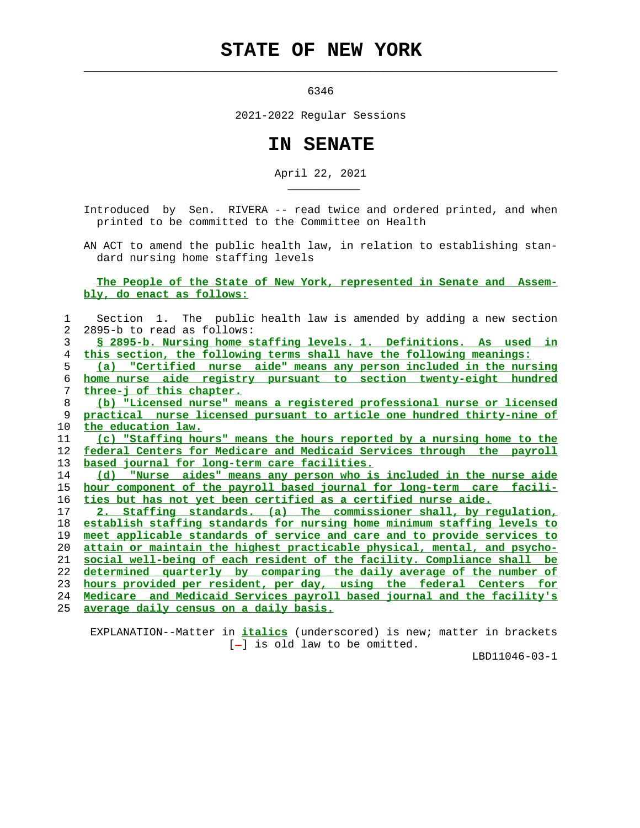## **STATE OF NEW YORK**

 $\mathcal{L}_\text{max} = \frac{1}{2} \sum_{i=1}^{n} \frac{1}{2} \sum_{i=1}^{n} \frac{1}{2} \sum_{i=1}^{n} \frac{1}{2} \sum_{i=1}^{n} \frac{1}{2} \sum_{i=1}^{n} \frac{1}{2} \sum_{i=1}^{n} \frac{1}{2} \sum_{i=1}^{n} \frac{1}{2} \sum_{i=1}^{n} \frac{1}{2} \sum_{i=1}^{n} \frac{1}{2} \sum_{i=1}^{n} \frac{1}{2} \sum_{i=1}^{n} \frac{1}{2} \sum_{i=1}^{n} \frac{1$ 

\_\_\_\_\_\_\_\_\_\_\_

6346

2021-2022 Regular Sessions

## **IN SENATE**

April 22, 2021

 Introduced by Sen. RIVERA -- read twice and ordered printed, and when printed to be committed to the Committee on Health

 AN ACT to amend the public health law, in relation to establishing stan dard nursing home staffing levels

 **The People of the State of New York, represented in Senate and Assem bly, do enact as follows:**

 1 Section 1. The public health law is amended by adding a new section 2 2895-b to read as follows: **§ 2895-b. Nursing home staffing levels. 1. Definitions. As used in this section, the following terms shall have the following meanings: (a) "Certified nurse aide" means any person included in the nursing home nurse aide registry pursuant to section twenty-eight hundred three-j of this chapter. (b) "Licensed nurse" means a registered professional nurse or licensed practical nurse licensed pursuant to article one hundred thirty-nine of the education law. (c) "Staffing hours" means the hours reported by a nursing home to the federal Centers for Medicare and Medicaid Services through the payroll based journal for long-term care facilities. (d) "Nurse aides" means any person who is included in the nurse aide hour component of the payroll based journal for long-term care facili- ties but has not yet been certified as a certified nurse aide. 2. Staffing standards. (a) The commissioner shall, by regulation, establish staffing standards for nursing home minimum staffing levels to meet applicable standards of service and care and to provide services to attain or maintain the highest practicable physical, mental, and psycho- social well-being of each resident of the facility. Compliance shall be determined quarterly by comparing the daily average of the number of hours provided per resident, per day, using the federal Centers for Medicare and Medicaid Services payroll based journal and the facility's average daily census on a daily basis.**

 EXPLANATION--Matter in **italics** (underscored) is new; matter in brackets  $[-]$  is old law to be omitted.

LBD11046-03-1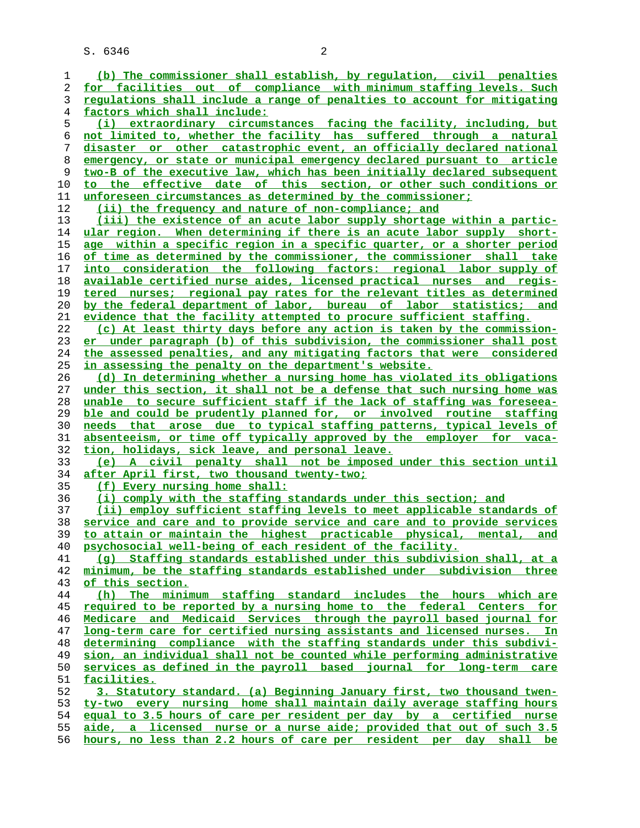S. 6346 2

**(b) The commissioner shall establish, by regulation, civil penalties for facilities out of compliance with minimum staffing levels. Such regulations shall include a range of penalties to account for mitigating factors which shall include: (i) extraordinary circumstances facing the facility, including, but not limited to, whether the facility has suffered through a natural disaster or other catastrophic event, an officially declared national emergency, or state or municipal emergency declared pursuant to article two-B of the executive law, which has been initially declared subsequent to the effective date of this section, or other such conditions or unforeseen circumstances as determined by the commissioner; (ii) the frequency and nature of non-compliance; and (iii) the existence of an acute labor supply shortage within a partic- ular region. When determining if there is an acute labor supply short- age within a specific region in a specific quarter, or a shorter period of time as determined by the commissioner, the commissioner shall take into consideration the following factors: regional labor supply of available certified nurse aides, licensed practical nurses and regis- tered nurses; regional pay rates for the relevant titles as determined by the federal department of labor, bureau of labor statistics; and evidence that the facility attempted to procure sufficient staffing. (c) At least thirty days before any action is taken by the commission- er under paragraph (b) of this subdivision, the commissioner shall post the assessed penalties, and any mitigating factors that were considered in assessing the penalty on the department's website. (d) In determining whether a nursing home has violated its obligations under this section, it shall not be a defense that such nursing home was unable to secure sufficient staff if the lack of staffing was foreseea- ble and could be prudently planned for, or involved routine staffing needs that arose due to typical staffing patterns, typical levels of absenteeism, or time off typically approved by the employer for vaca- tion, holidays, sick leave, and personal leave. (e) A civil penalty shall not be imposed under this section until after April first, two thousand twenty-two; (f) Every nursing home shall: (i) comply with the staffing standards under this section; and (ii) employ sufficient staffing levels to meet applicable standards of service and care and to provide service and care and to provide services to attain or maintain the highest practicable physical, mental, and psychosocial well-being of each resident of the facility. (g) Staffing standards established under this subdivision shall, at a minimum, be the staffing standards established under subdivision three of this section. (h) The minimum staffing standard includes the hours which are required to be reported by a nursing home to the federal Centers for Medicare and Medicaid Services through the payroll based journal for long-term care for certified nursing assistants and licensed nurses. In determining compliance with the staffing standards under this subdivi- sion, an individual shall not be counted while performing administrative services as defined in the payroll based journal for long-term care facilities. 3. Statutory standard. (a) Beginning January first, two thousand twen- ty-two every nursing home shall maintain daily average staffing hours equal to 3.5 hours of care per resident per day by a certified nurse aide, a licensed nurse or a nurse aide; provided that out of such 3.5 hours, no less than 2.2 hours of care per resident per day shall be**